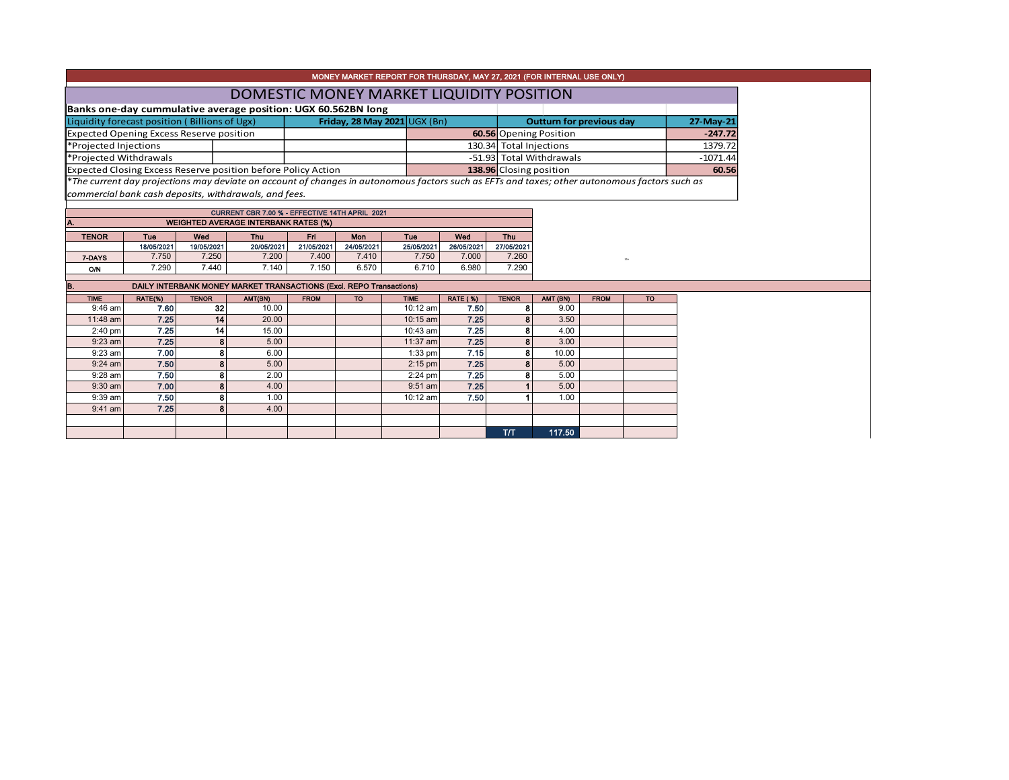|                                                 |                   |                   |                                                                                               |                   | MONEY MARKET REPORT FOR THURSDAY, MAY 27, 2021 (FOR INTERNAL USE ONLY)                                                                        |                          |                          |                          |                                 |             |           |            |
|-------------------------------------------------|-------------------|-------------------|-----------------------------------------------------------------------------------------------|-------------------|-----------------------------------------------------------------------------------------------------------------------------------------------|--------------------------|--------------------------|--------------------------|---------------------------------|-------------|-----------|------------|
|                                                 |                   |                   |                                                                                               |                   | DOMESTIC MONEY MARKET LIQUIDITY POSITION                                                                                                      |                          |                          |                          |                                 |             |           |            |
|                                                 |                   |                   | Banks one-day cummulative average position: UGX 60.562BN long                                 |                   |                                                                                                                                               |                          |                          |                          |                                 |             |           |            |
| Liquidity forecast position (Billions of Ugx)   |                   |                   |                                                                                               |                   | Friday, 28 May 2021 $\cup$ GX (Bn)                                                                                                            |                          |                          |                          | <b>Outturn for previous day</b> |             | 27-May-21 |            |
| <b>Expected Opening Excess Reserve position</b> |                   |                   |                                                                                               |                   |                                                                                                                                               |                          |                          |                          | 60.56 Opening Position          |             | $-247.72$ |            |
| *Projected Injections                           |                   |                   |                                                                                               |                   |                                                                                                                                               |                          | 130.34 Total Injections  |                          |                                 |             | 1379.72   |            |
| *Projected Withdrawals                          |                   |                   |                                                                                               |                   |                                                                                                                                               |                          | -51.93 Total Withdrawals |                          |                                 |             |           | $-1071.44$ |
|                                                 |                   |                   | Expected Closing Excess Reserve position before Policy Action                                 |                   |                                                                                                                                               |                          |                          | 138.96 Closing position  |                                 |             |           | 60.56      |
|                                                 |                   |                   |                                                                                               |                   | *The current day projections may deviate on account of changes in autonomous factors such as EFTs and taxes; other autonomous factors such as |                          |                          |                          |                                 |             |           |            |
|                                                 |                   |                   | commercial bank cash deposits, withdrawals, and fees.                                         |                   |                                                                                                                                               |                          |                          |                          |                                 |             |           |            |
|                                                 |                   |                   |                                                                                               |                   |                                                                                                                                               |                          |                          |                          |                                 |             |           |            |
|                                                 |                   |                   | CURRENT CBR 7.00 % - EFFECTIVE 14TH APRIL 2021<br><b>WEIGHTED AVERAGE INTERBANK RATES (%)</b> |                   |                                                                                                                                               |                          |                          |                          |                                 |             |           |            |
|                                                 |                   |                   |                                                                                               |                   |                                                                                                                                               |                          |                          |                          |                                 |             |           |            |
| <b>TENOR</b>                                    | Tue<br>18/05/2021 | Wod<br>19/05/2021 | Thu<br>20/05/2021                                                                             | Fri<br>21/05/2021 | Mon<br>24/05/2021                                                                                                                             | <b>Tue</b><br>25/05/2021 | Wed<br>26/05/2021        | <b>Thu</b><br>27/05/2021 |                                 |             |           |            |
| 7-DAYS                                          | 7.750             | 7.250             | 7.200                                                                                         | 7.400             | 7.410                                                                                                                                         | 7.750                    | 7.000                    | 7.260                    |                                 |             | $35 +$    |            |
| O/N                                             | 7.290             | 7.440             | 7.140                                                                                         | 7.150             | 6.570                                                                                                                                         | 6.710                    | 6.980                    | 7.290                    |                                 |             |           |            |
|                                                 |                   |                   |                                                                                               |                   |                                                                                                                                               |                          |                          |                          |                                 |             |           |            |
| В.                                              |                   |                   |                                                                                               |                   | DAILY INTERBANK MONEY MARKET TRANSACTIONS (Excl. REPO Transactions)                                                                           |                          |                          |                          |                                 |             |           |            |
| <b>TIME</b>                                     | RATE(%)           | <b>TENOR</b>      | AMT(BN)                                                                                       | <b>FROM</b>       | <b>TO</b>                                                                                                                                     | <b>TIME</b>              | <b>RATE (%)</b>          | <b>TENOR</b>             | AMT (BN)                        | <b>FROM</b> | <b>TO</b> |            |
| $9:46$ am<br>11:48 am                           | 7.60<br>7.25      | 32<br>14          | 10.00<br>20.00                                                                                |                   |                                                                                                                                               | $10:12$ am<br>10:15 am   | 7.50<br>7.25             | 8                        | 9.00<br>3.50                    |             |           |            |
| $2:40$ pm                                       | 7.25              | 14                | 15.00                                                                                         |                   |                                                                                                                                               | 10:43 am                 | 7.25                     |                          | 4.00                            |             |           |            |
| $9:23$ am                                       | 7.25              | 8                 | 5.00                                                                                          |                   |                                                                                                                                               | 11:37 am                 | 7.25                     |                          | 3.00                            |             |           |            |
| $9:23$ am                                       | 7.00              | 8                 | 6.00                                                                                          |                   |                                                                                                                                               | $1:33$ pm                | 7.15                     | 8                        | 10.00                           |             |           |            |
| $9:24$ am                                       | 7.50              | 8                 | 5.00                                                                                          |                   |                                                                                                                                               | $2:15$ pm                | 7.25                     |                          | 5.00                            |             |           |            |
| $9:28$ am                                       | 7.50              | 8                 | 2.00                                                                                          |                   |                                                                                                                                               | $2:24$ pm                | 7.25                     |                          | 5.00                            |             |           |            |
| $9:30$ am                                       | 7.00              | 8                 | 4.00                                                                                          |                   |                                                                                                                                               | $9:51$ am                | 7.25                     |                          | 5.00                            |             |           |            |
| 9:39 am                                         | 7.50              | 8                 | 1.00                                                                                          |                   |                                                                                                                                               | 10:12 am                 | 7.50                     |                          | 1.00                            |             |           |            |
| $9:41$ am                                       | 7.25              | R                 | 4.00                                                                                          |                   |                                                                                                                                               |                          |                          |                          |                                 |             |           |            |
|                                                 |                   |                   |                                                                                               |                   |                                                                                                                                               |                          |                          |                          |                                 |             |           |            |
|                                                 |                   |                   |                                                                                               |                   |                                                                                                                                               |                          |                          | T/T                      | 117.50                          |             |           |            |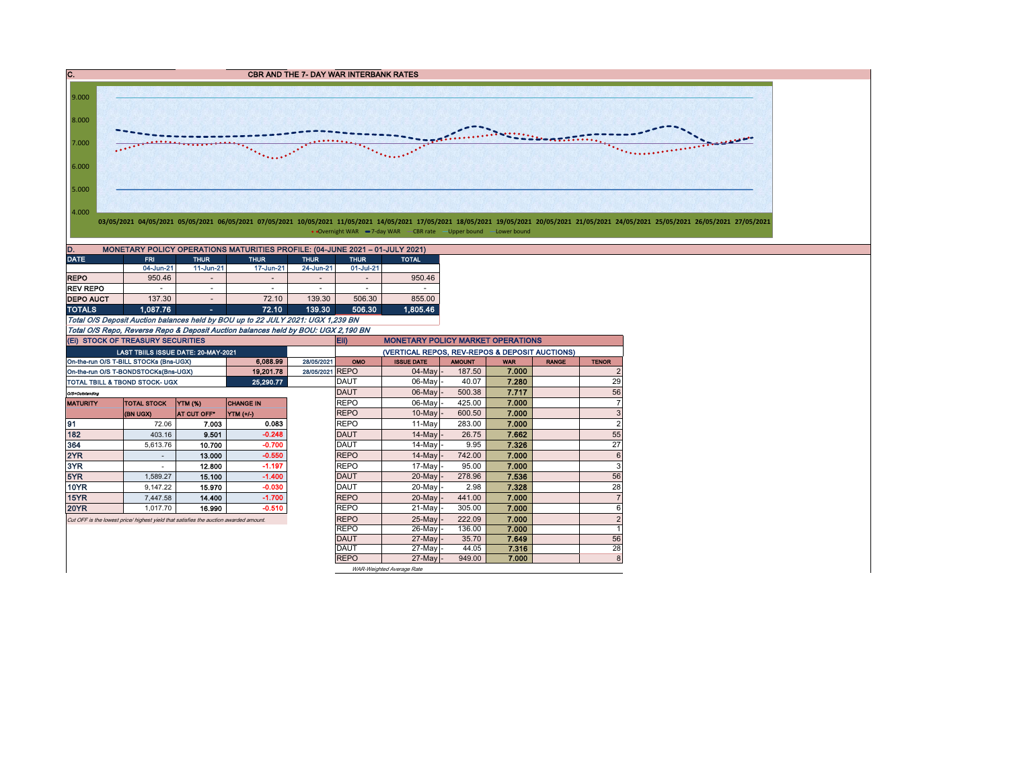C. C. CBR AND THE 7- DAY WAR INTERBANK RATES



• Overnight WAR -7-day WAR - CBR rate -Upper bound - Lower bound

| D.<br>MONETARY POLICY OPERATIONS MATURITIES PROFILE: (04-JUNE 2021 - 01-JULY 2021) |                          |                          |                          |                          |             |              |  |  |  |  |  |  |  |
|------------------------------------------------------------------------------------|--------------------------|--------------------------|--------------------------|--------------------------|-------------|--------------|--|--|--|--|--|--|--|
| <b>DATE</b>                                                                        | <b>FRI</b>               | <b>THUR</b>              | <b>THUR</b>              | <b>THUR</b>              | <b>THUR</b> | <b>TOTAL</b> |  |  |  |  |  |  |  |
|                                                                                    | 04-Jun-21                | $11$ -Jun-21             | 17-Jun-21                | 24-Jun-21                | 01-Jul-21   |              |  |  |  |  |  |  |  |
| <b>REPO</b>                                                                        | 950.46                   | $\overline{\phantom{a}}$ | $\overline{\phantom{a}}$ | $\overline{\phantom{a}}$ |             | 950.46       |  |  |  |  |  |  |  |
| <b>REV REPO</b>                                                                    | $\overline{\phantom{a}}$ |                          | $\overline{\phantom{a}}$ | ۰                        |             |              |  |  |  |  |  |  |  |
| <b>DEPO AUCT</b>                                                                   | 137.30                   | ۰                        | 72.10                    | 139.30                   | 506.30      | 855.00       |  |  |  |  |  |  |  |
| <b>TOTALS</b>                                                                      | 1.087.76                 | ۰                        | 72.10                    | 139.30                   | 506.30      | 1.805.46     |  |  |  |  |  |  |  |

Total O/S Deposit Auction balances held by BOU up to 22 JULY 2021: UGX 1,239 BN Total O/S Repo, Reverse Repo & Deposit Auction balances held by BOU: UGX 2,190 BN

|                 | (EI) STOCK OF TREASURY SECURITIES                                                     |             |                  |            | Eii)<br><b>MONETARY POLICY MARKET OPERATIONS</b> |                                                |               |            |              |                |  |  |  |
|-----------------|---------------------------------------------------------------------------------------|-------------|------------------|------------|--------------------------------------------------|------------------------------------------------|---------------|------------|--------------|----------------|--|--|--|
|                 | <b>LAST TBIILS ISSUE DATE: 20-MAY-2021</b>                                            |             |                  |            |                                                  | (VERTICAL REPOS, REV-REPOS & DEPOSIT AUCTIONS) |               |            |              |                |  |  |  |
|                 | On-the-run O/S T-BILL STOCKs (Bns-UGX)                                                |             | 6.088.99         | 28/05/2021 | OMO                                              | <b>ISSUE DATE</b>                              | <b>AMOUNT</b> | <b>WAR</b> | <b>RANGE</b> | <b>TENOR</b>   |  |  |  |
|                 | On-the-run O/S T-BONDSTOCKs(Bns-UGX)                                                  |             | 19.201.78        | 28/05/2021 | <b>REPO</b>                                      | $04$ -May $-$                                  | 187.50        | 7.000      |              | $\overline{2}$ |  |  |  |
|                 | <b>TOTAL TBILL &amp; TBOND STOCK- UGX</b>                                             |             | 25,290.77        |            | <b>DAUT</b>                                      | 06-May -                                       | 40.07         | 7.280      |              | 29             |  |  |  |
| O/S=Outstanding |                                                                                       |             |                  |            | <b>DAUT</b>                                      | $06$ -May $-$                                  | 500.38        | 7.717      |              | 56             |  |  |  |
| <b>MATURITY</b> | <b>TOTAL STOCK</b>                                                                    | YTM (%)     | <b>CHANGE IN</b> |            | <b>REPO</b>                                      | 06-May                                         | 425.00        | 7.000      |              | 7              |  |  |  |
|                 | (BN UGX)                                                                              | AT CUT OFF* | <b>YTM (+/-)</b> |            | <b>REPO</b>                                      | $10$ -May $-$                                  | 600.50        | 7.000      |              | 3              |  |  |  |
| 91              | 72.06                                                                                 | 7.003       | 0.083            |            | <b>REPO</b>                                      | 11-May                                         | 283.00        | 7.000      |              | $\overline{2}$ |  |  |  |
| 182             | 403.16                                                                                | 9.501       | $-0.248$         |            | <b>DAUT</b>                                      | $14$ -May $-$                                  | 26.75         | 7.662      |              | 55             |  |  |  |
| 364             | 5,613.76                                                                              | 10.700      | $-0.700$         |            | <b>DAUT</b>                                      | $14$ -May -                                    | 9.95          | 7.326      |              | 27             |  |  |  |
| 2YR             |                                                                                       | 13.000      | $-0.550$         |            | <b>REPO</b>                                      | 14-May                                         | 742.00        | 7.000      |              | 6              |  |  |  |
| 3YR             |                                                                                       | 12.800      | $-1.197$         |            | <b>REPO</b>                                      | 17-May                                         | 95.00         | 7.000      |              | 3              |  |  |  |
| 5YR             | 1.589.27                                                                              | 15.100      | $-1.400$         |            | <b>DAUT</b>                                      | 20-May -                                       | 278.96        | 7.536      |              | 56             |  |  |  |
| <b>10YR</b>     | 9,147.22                                                                              | 15.970      | $-0.030$         |            | <b>DAUT</b>                                      | 20-May -                                       | 2.98          | 7.328      |              | 28             |  |  |  |
| 15YR            | 7,447.58                                                                              | 14.400      | $-1.700$         |            | <b>REPO</b>                                      | 20-May -                                       | 441.00        | 7.000      |              | 7              |  |  |  |
| <b>20YR</b>     | 1.017.70                                                                              | 16.990      | $-0.510$         |            | <b>REPO</b>                                      | 21-May -                                       | 305.00        | 7.000      |              | 6              |  |  |  |
|                 | Cut OFF is the lowest price/ highest yield that satisfies the auction awarded amount. |             |                  |            | <b>REPO</b>                                      | 25-Mayl-                                       | 222.09        | 7.000      |              | $\overline{2}$ |  |  |  |
|                 |                                                                                       |             |                  |            | <b>REPO</b>                                      | 26-May -                                       | 136.00        | 7.000      |              |                |  |  |  |
|                 |                                                                                       |             |                  |            | <b>DAUT</b>                                      | $27$ -May $-$                                  | 35.70         | 7.649      |              | 56             |  |  |  |
|                 |                                                                                       |             |                  |            | <b>DAUT</b>                                      | 27-May -                                       | 44.05         | 7.316      |              | 28             |  |  |  |
|                 |                                                                                       |             |                  |            | <b>REPO</b>                                      | $27$ -May -                                    | 949.00        | 7.000      |              | 8              |  |  |  |
|                 |                                                                                       |             |                  |            |                                                  | WAR-Weighted Average Rate                      |               |            |              |                |  |  |  |